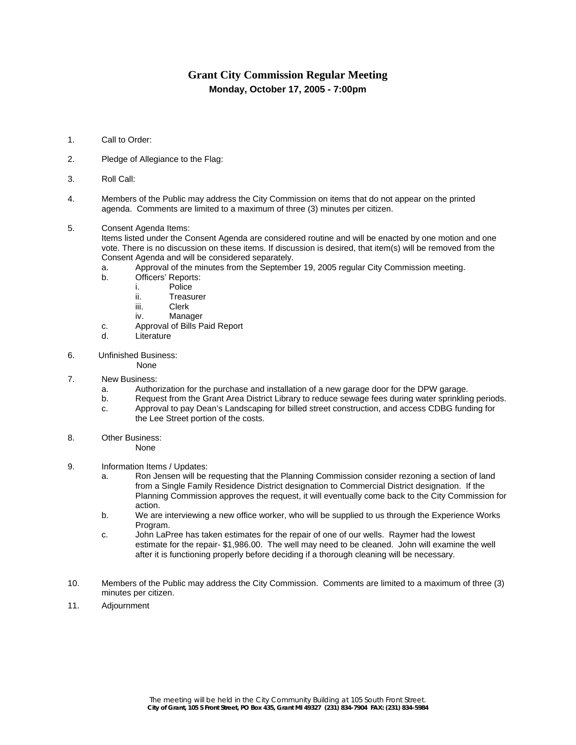## **Grant City Commission Regular Meeting Monday, October 17, 2005 - 7:00pm**

- 1. Call to Order:
- 2. Pledge of Allegiance to the Flag:
- 3. Roll Call:
- 4. Members of the Public may address the City Commission on items that do not appear on the printed agenda. Comments are limited to a maximum of three (3) minutes per citizen.
- 5. Consent Agenda Items:

Items listed under the Consent Agenda are considered routine and will be enacted by one motion and one vote. There is no discussion on these items. If discussion is desired, that item(s) will be removed from the Consent Agenda and will be considered separately.

- a. Approval of the minutes from the September 19, 2005 regular City Commission meeting.
- b. Officers' Reports:
	- i. Police
		- ii. Treasurer
		- iii. Clerk
	- iv. Manager
- c. Approval of Bills Paid Report
- d. Literature
- 6. Unfinished Business:

None

- 7. New Business:
	- a. Authorization for the purchase and installation of a new garage door for the DPW garage.
	- b. Request from the Grant Area District Library to reduce sewage fees during water sprinkling periods. c. Approval to pay Dean's Landscaping for billed street construction, and access CDBG funding for
	- the Lee Street portion of the costs.
- 8. Other Business:

None

- 9. Information Items / Updates:
	- a. Ron Jensen will be requesting that the Planning Commission consider rezoning a section of land from a Single Family Residence District designation to Commercial District designation. If the Planning Commission approves the request, it will eventually come back to the City Commission for action.
	- b. We are interviewing a new office worker, who will be supplied to us through the Experience Works Program.
	- c. John LaPree has taken estimates for the repair of one of our wells. Raymer had the lowest estimate for the repair- \$1,986.00. The well may need to be cleaned. John will examine the well after it is functioning properly before deciding if a thorough cleaning will be necessary.
- 10. Members of the Public may address the City Commission. Comments are limited to a maximum of three (3) minutes per citizen.
- 11. Adjournment